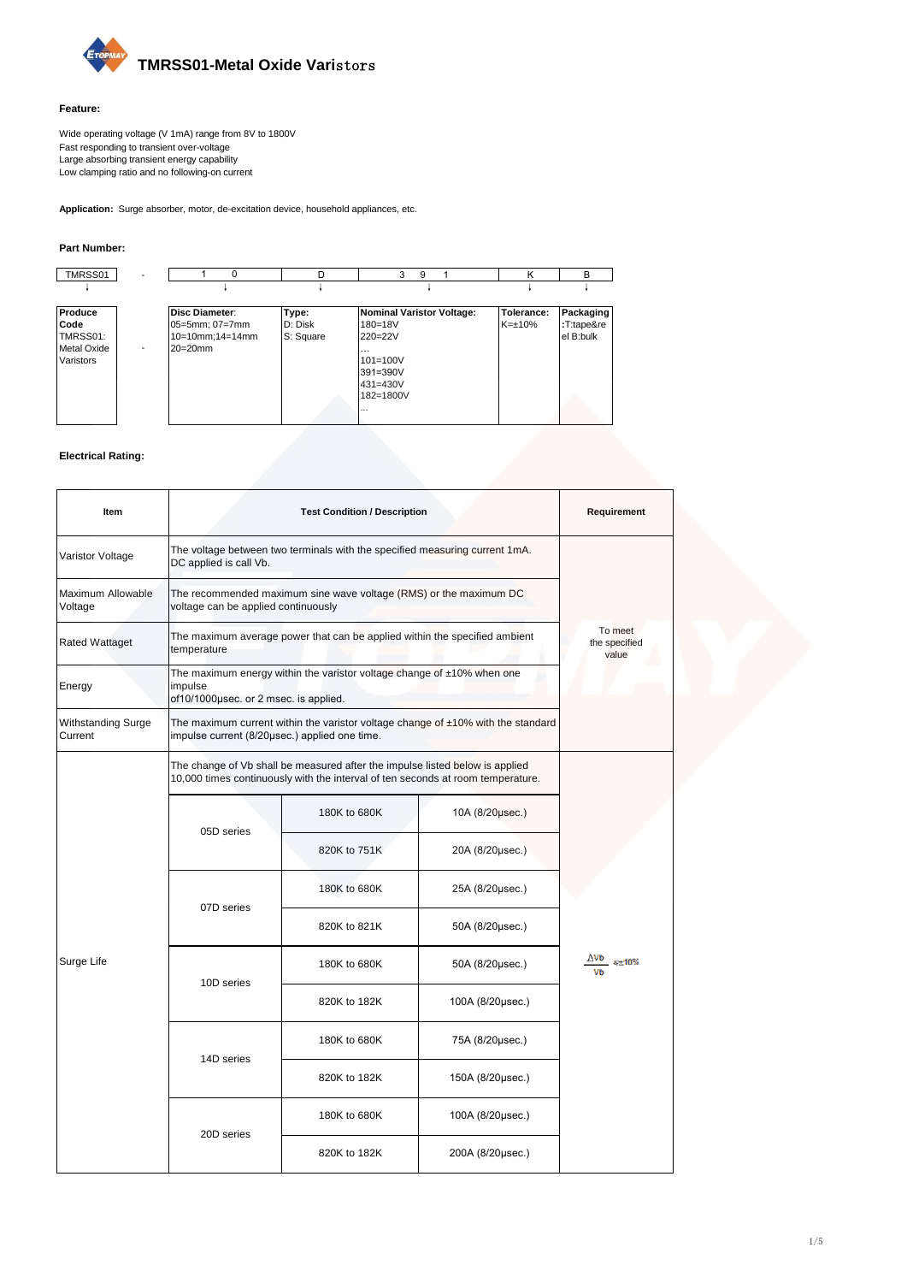

### **Feature:**

Wide operating voltage (V 1mA) range from 8V to 1800V Fast responding to transient over-voltage Large absorbing transient energy capability Low clamping ratio and no following-on current

**Application:** Surge absorber, motor, de-excitation device, household appliances, etc.

### **Part Number:**

| TMRSS01            |                          |                 |           | 9<br>3                           |              | в          |
|--------------------|--------------------------|-----------------|-----------|----------------------------------|--------------|------------|
|                    |                          |                 |           |                                  |              |            |
| Produce            |                          | Disc Diameter:  | Type:     | <b>Nominal Varistor Voltage:</b> | Tolerance:   | Packaging  |
| Code               |                          | 05=5mm; 07=7mm  | D: Disk   | $180 = 18V$                      | $K=\pm 10\%$ | :T:tape&re |
| TMRSS01:           |                          | 10=10mm;14=14mm | S: Square | $220 = 22V$                      |              | el B:bulk  |
| <b>Metal Oxide</b> | $\overline{\phantom{a}}$ | $20=20$ mm      |           | $\cdots$                         |              |            |
| Varistors          |                          |                 |           | $101 = 100V$                     |              |            |
|                    |                          |                 |           | 391=390V                         |              |            |
|                    |                          |                 |           | 431=430V                         |              |            |
|                    |                          |                 |           | 182=1800V                        |              |            |
|                    |                          |                 |           | $\cdots$                         |              |            |
|                    |                          |                 |           |                                  |              |            |

### **Electrical Rating:**

| Item                                 |                                                                                                                                                                 | Requirement                                                                                              |                  |                                   |  |  |  |  |  |  |
|--------------------------------------|-----------------------------------------------------------------------------------------------------------------------------------------------------------------|----------------------------------------------------------------------------------------------------------|------------------|-----------------------------------|--|--|--|--|--|--|
| Varistor Voltage                     | DC applied is call Vb.                                                                                                                                          | The voltage between two terminals with the specified measuring current 1mA.                              |                  |                                   |  |  |  |  |  |  |
| Maximum Allowable<br>Voltage         |                                                                                                                                                                 | The recommended maximum sine wave voltage (RMS) or the maximum DC<br>voltage can be applied continuously |                  |                                   |  |  |  |  |  |  |
| <b>Rated Wattaget</b>                | temperature                                                                                                                                                     | The maximum average power that can be applied within the specified ambient                               |                  | To meet<br>the specified<br>value |  |  |  |  |  |  |
| Energy                               | The maximum energy within the varistor voltage change of $±10\%$ when one<br>impulse<br>of10/1000µsec. or 2 msec. is applied.                                   |                                                                                                          |                  |                                   |  |  |  |  |  |  |
| <b>Withstanding Surge</b><br>Current | The maximum current within the varistor voltage change of $\pm 10\%$ with the standard<br>impulse current (8/20µsec.) applied one time.                         |                                                                                                          |                  |                                   |  |  |  |  |  |  |
|                                      | The change of Vb shall be measured after the impulse listed below is applied<br>10,000 times continuously with the interval of ten seconds at room temperature. |                                                                                                          |                  |                                   |  |  |  |  |  |  |
|                                      |                                                                                                                                                                 | 180K to 680K                                                                                             | 10A (8/20µsec.)  |                                   |  |  |  |  |  |  |
|                                      | 05D series                                                                                                                                                      | 820K to 751K                                                                                             | 20A (8/20µsec.)  |                                   |  |  |  |  |  |  |
|                                      | 07D series                                                                                                                                                      | 180K to 680K                                                                                             | 25A (8/20µsec.)  |                                   |  |  |  |  |  |  |
|                                      |                                                                                                                                                                 | 820K to 821K                                                                                             | 50A (8/20µsec.)  |                                   |  |  |  |  |  |  |
| Surge Life                           | 10D series                                                                                                                                                      | 180K to 680K                                                                                             | 50A (8/20usec.)  | <u>∆Vb <sub>≤±10%</sub></u>       |  |  |  |  |  |  |
|                                      |                                                                                                                                                                 | 820K to 182K<br>100A (8/20usec.)                                                                         |                  |                                   |  |  |  |  |  |  |
|                                      |                                                                                                                                                                 | 180K to 680K                                                                                             | 75A (8/20µsec.)  |                                   |  |  |  |  |  |  |
|                                      | 14D series                                                                                                                                                      | 820K to 182K<br>150A (8/20usec.)                                                                         |                  |                                   |  |  |  |  |  |  |
|                                      |                                                                                                                                                                 | 180K to 680K                                                                                             | 100A (8/20µsec.) |                                   |  |  |  |  |  |  |
|                                      | 20D series                                                                                                                                                      | 820K to 182K                                                                                             | 200A (8/20µsec.) |                                   |  |  |  |  |  |  |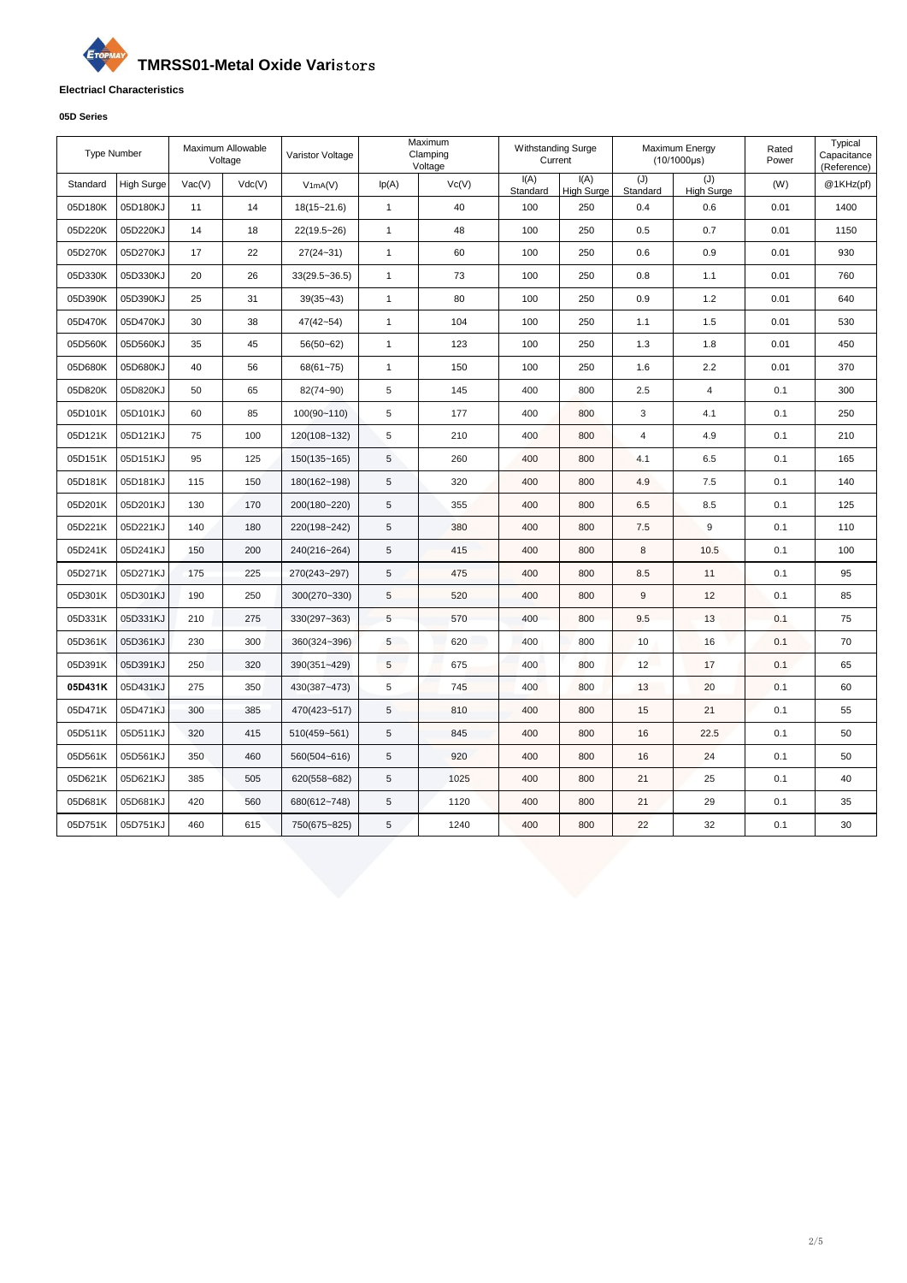## G **TMRSS01-Metal Oxide Vari**stors

### **Electriacl Characteristics**

### **05D Series**

| <b>Type Number</b> |                   |        | Maximum Allowable<br>Voltage | Varistor Voltage  |              | Maximum<br>Clamping<br>Voltage | <b>Withstanding Surge</b><br>Current |                           |                 | Maximum Energy<br>$(10/1000\mu s)$ | Rated<br>Power | Typical<br>Capacitance<br>(Reference) |
|--------------------|-------------------|--------|------------------------------|-------------------|--------------|--------------------------------|--------------------------------------|---------------------------|-----------------|------------------------------------|----------------|---------------------------------------|
| Standard           | <b>High Surge</b> | Vac(V) | Vdc(V)                       | V1mA(V)           | lp(A)        | Vc(V)                          | I(A)<br>Standard                     | I(A)<br><b>High Surge</b> | (J)<br>Standard | (J)<br><b>High Surge</b>           | (W)            | @1KHz(pf)                             |
| 05D180K            | 05D180KJ          | 11     | 14                           | $18(15 - 21.6)$   | $\mathbf{1}$ | 40                             | 100                                  | 250                       | 0.4             | 0.6                                | 0.01           | 1400                                  |
| 05D220K            | 05D220KJ          | 14     | 18                           | 22(19.5~26)       | $\mathbf{1}$ | 48                             | 100                                  | 250                       | 0.5             | 0.7                                | 0.01           | 1150                                  |
| 05D270K            | 05D270KJ          | 17     | 22                           | $27(24 - 31)$     | $\mathbf{1}$ | 60                             | 100                                  | 250                       | 0.6             | 0.9                                | 0.01           | 930                                   |
| 05D330K            | 05D330KJ          | 20     | 26                           | $33(29.5 - 36.5)$ | $\mathbf{1}$ | 73                             | 100                                  | 250                       | 0.8             | 1.1                                | 0.01           | 760                                   |
| 05D390K            | 05D390KJ          | 25     | 31                           | $39(35 - 43)$     | $\mathbf{1}$ | 80                             | 100                                  | 250                       | 0.9             | 1.2                                | 0.01           | 640                                   |
| 05D470K            | 05D470KJ          | 30     | 38                           | $47(42 - 54)$     | $\mathbf{1}$ | 104                            | 100                                  | 250                       | 1.1             | 1.5                                | 0.01           | 530                                   |
| 05D560K            | 05D560KJ          | 35     | 45                           | $56(50 - 62)$     | $\mathbf{1}$ | 123                            | 100                                  | 250                       | 1.3             | 1.8                                | 0.01           | 450                                   |
| 05D680K            | 05D680KJ          | 40     | 56                           | $68(61 - 75)$     | $\mathbf{1}$ | 150                            | 100                                  | 250                       | 1.6             | 2.2                                | 0.01           | 370                                   |
| 05D820K            | 05D820KJ          | 50     | 65                           | 82(74~90)         | 5            | 145                            | 400                                  | 800                       | 2.5             | $\overline{4}$                     | 0.1            | 300                                   |
| 05D101K            | 05D101KJ          | 60     | 85                           | 100(90~110)       | 5            | 177                            | 400                                  | 800                       | 3               | 4.1                                | 0.1            | 250                                   |
| 05D121K            | 05D121KJ          | 75     | 100                          | 120(108~132)      | 5            | 210                            | 400                                  | 800                       | $\overline{4}$  | 4.9                                | 0.1            | 210                                   |
| 05D151K            | 05D151KJ          | 95     | 125                          | 150(135~165)      | 5            | 260                            | 400                                  | 800                       | 4.1             | 6.5                                | 0.1            | 165                                   |
| 05D181K            | 05D181KJ          | 115    | 150                          | 180(162~198)      | 5            | 320                            | 400                                  | 800                       | 4.9             | 7.5                                | 0.1            | 140                                   |
| 05D201K            | 05D201KJ          | 130    | 170                          | 200(180~220)      | 5            | 355                            | 400                                  | 800                       | 6.5             | 8.5                                | 0.1            | 125                                   |
| 05D221K            | 05D221KJ          | 140    | 180                          | 220(198~242)      | 5            | 380                            | 400                                  | 800                       | 7.5             | 9                                  | 0.1            | 110                                   |
| 05D241K            | 05D241KJ          | 150    | 200                          | 240(216~264)      | 5            | 415                            | 400                                  | 800                       | 8               | 10.5                               | 0.1            | 100                                   |
| 05D271K            | 05D271KJ          | 175    | 225                          | 270(243~297)      | 5            | 475                            | 400                                  | 800                       | 8.5             | 11                                 | 0.1            | 95                                    |
| 05D301K            | 05D301KJ          | 190    | 250                          | 300(270~330)      | 5            | 520                            | 400                                  | 800                       | 9               | 12                                 | 0.1            | 85                                    |
| 05D331K            | 05D331KJ          | 210    | 275                          | 330(297~363)      | 5            | 570                            | 400                                  | 800                       | 9.5             | 13                                 | 0.1            | 75                                    |
| 05D361K            | 05D361KJ          | 230    | 300                          | 360(324~396)      | 5            | 620                            | 400                                  | 800                       | 10              | 16                                 | 0.1            | 70                                    |
| 05D391K            | 05D391KJ          | 250    | 320                          | 390(351~429)      | 5            | 675                            | 400                                  | 800                       | 12              | 17                                 | 0.1            | 65                                    |
| 05D431K            | 05D431KJ          | 275    | 350                          | 430(387~473)      | 5            | 745                            | 400                                  | 800                       | 13              | 20                                 | 0.1            | 60                                    |
| 05D471K            | 05D471KJ          | 300    | 385                          | 470(423~517)      | 5            | 810                            | 400                                  | 800                       | 15              | 21                                 | 0.1            | 55                                    |
| 05D511K            | 05D511KJ          | 320    | 415                          | 510(459~561)      | 5            | 845                            | 400                                  | 800                       | 16              | 22.5                               | 0.1            | 50                                    |
| 05D561K            | 05D561KJ          | 350    | 460                          | 560(504~616)      | 5            | 920                            | 400                                  | 800                       | 16              | 24                                 | 0.1            | 50                                    |
| 05D621K            | 05D621KJ          | 385    | 505                          | 620(558~682)      | 5            | 1025                           | 400                                  | 800                       | 21              | 25                                 | 0.1            | 40                                    |
| 05D681K            | 05D681KJ          | 420    | 560                          | 680(612~748)      | 5            | 1120                           | 400                                  | 800                       | 21              | 29                                 | 0.1            | 35                                    |
| 05D751K            | 05D751KJ          | 460    | 615                          | 750(675~825)      | 5            | 1240                           | 400                                  | 800                       | 22              | 32                                 | 0.1            | 30                                    |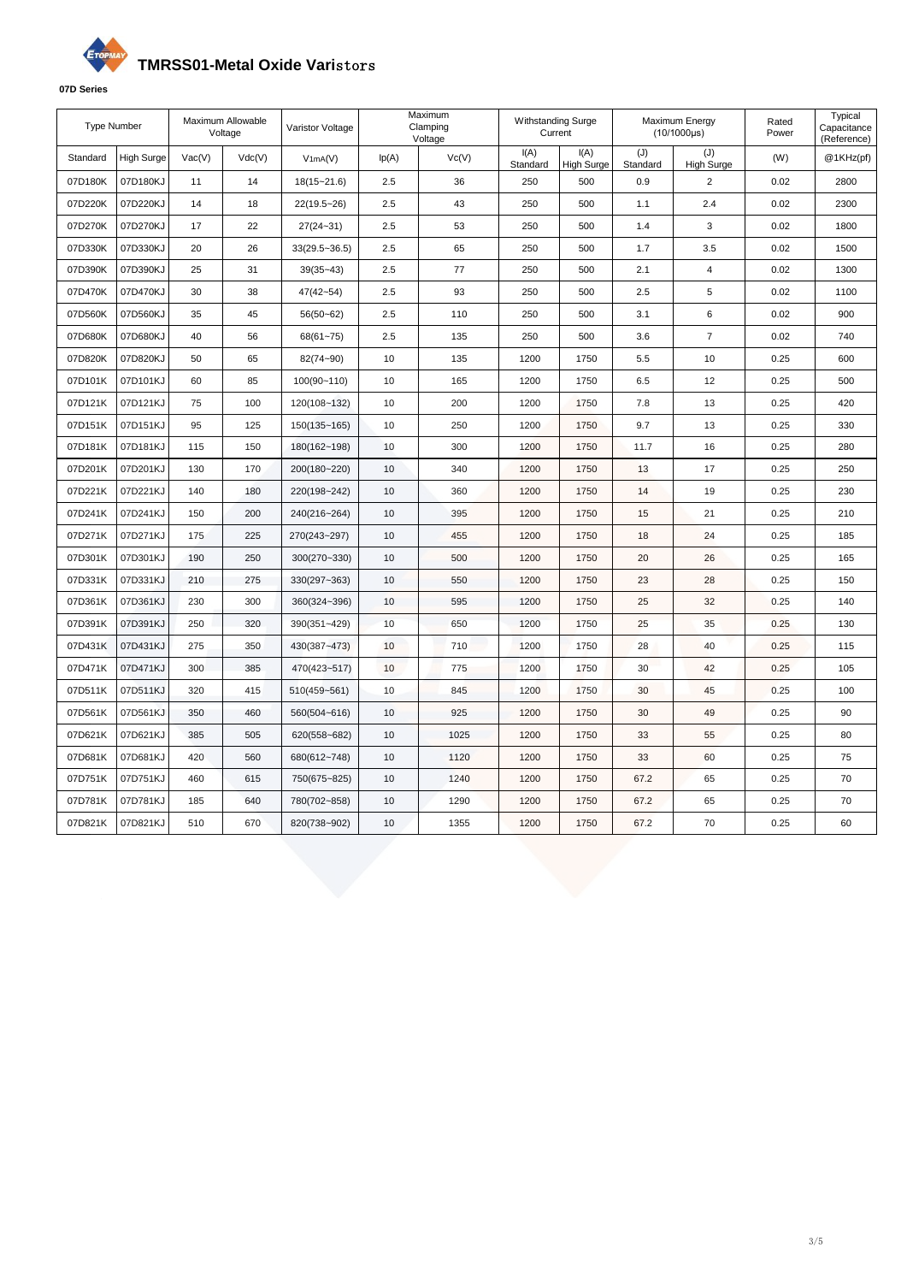# **TMRSS01-Metal Oxide Vari**stors



| Type Number |                   |        | Maximum Allowable<br>Voltage | Varistor Voltage  |       | Maximum<br>Clamping<br>Voltage | Withstanding Surge<br>Current |                           | Maximum Energy<br>$(10/1000\mu s)$ |                          | Rated<br>Power | Typical<br>Capacitance<br>(Reference) |
|-------------|-------------------|--------|------------------------------|-------------------|-------|--------------------------------|-------------------------------|---------------------------|------------------------------------|--------------------------|----------------|---------------------------------------|
| Standard    | <b>High Surge</b> | Vac(V) | Vdc(V)                       | V1mA(V)           | lp(A) | Vc(V)                          | I(A)<br>Standard              | I(A)<br><b>High Surge</b> | (J)<br>Standard                    | (J)<br><b>High Surge</b> | (W)            | @1KHz(pf)                             |
| 07D180K     | 07D180KJ          | 11     | 14                           | $18(15 - 21.6)$   | 2.5   | 36                             | 250                           | 500                       | 0.9                                | $\overline{2}$           | 0.02           | 2800                                  |
| 07D220K     | 07D220KJ          | 14     | 18                           | 22(19.5~26)       | 2.5   | 43                             | 250                           | 500                       | 1.1                                | 2.4                      | 0.02           | 2300                                  |
| 07D270K     | 07D270KJ          | 17     | 22                           | $27(24 - 31)$     | 2.5   | 53                             | 250                           | 500                       | 1.4                                | 3                        | 0.02           | 1800                                  |
| 07D330K     | 07D330KJ          | 20     | 26                           | $33(29.5 - 36.5)$ | 2.5   | 65                             | 250                           | 500                       | 1.7                                | 3.5                      | 0.02           | 1500                                  |
| 07D390K     | 07D390KJ          | 25     | 31                           | $39(35 - 43)$     | 2.5   | 77                             | 250                           | 500                       | 2.1                                | 4                        | 0.02           | 1300                                  |
| 07D470K     | 07D470KJ          | 30     | 38                           | $47(42 - 54)$     | 2.5   | 93                             | 250                           | 500                       | 2.5                                | 5                        | 0.02           | 1100                                  |
| 07D560K     | 07D560KJ          | 35     | 45                           | $56(50 - 62)$     | 2.5   | 110                            | 250                           | 500                       | 3.1                                | 6                        | 0.02           | 900                                   |
| 07D680K     | 07D680KJ          | 40     | 56                           | $68(61 - 75)$     | 2.5   | 135                            | 250                           | 500                       | 3.6                                | $\overline{7}$           | 0.02           | 740                                   |
| 07D820K     | 07D820KJ          | 50     | 65                           | 82(74~90)         | 10    | 135                            | 1200                          | 1750                      | 5.5                                | 10                       | 0.25           | 600                                   |
| 07D101K     | 07D101KJ          | 60     | 85                           | 100(90~110)       | 10    | 165                            | 1200                          | 1750                      | 6.5                                | 12                       | 0.25           | 500                                   |
| 07D121K     | 07D121KJ          | 75     | 100                          | 120(108~132)      | 10    | 200                            | 1200                          | 1750                      | 7.8                                | 13                       | 0.25           | 420                                   |
| 07D151K     | 07D151KJ          | 95     | 125                          | $150(135 - 165)$  | 10    | 250                            | 1200                          | 1750                      | 9.7                                | 13                       | 0.25           | 330                                   |
| 07D181K     | 07D181KJ          | 115    | 150                          | 180(162~198)      | 10    | 300                            | 1200                          | 1750                      | 11.7                               | 16                       | 0.25           | 280                                   |
| 07D201K     | 07D201KJ          | 130    | 170                          | 200(180~220)      | 10    | 340                            | 1200                          | 1750                      | 13                                 | 17                       | 0.25           | 250                                   |
| 07D221K     | 07D221KJ          | 140    | 180                          | 220(198~242)      | 10    | 360                            | 1200                          | 1750                      | 14                                 | 19                       | 0.25           | 230                                   |
| 07D241K     | 07D241KJ          | 150    | 200                          | 240(216~264)      | 10    | 395                            | 1200                          | 1750                      | 15                                 | 21                       | 0.25           | 210                                   |
| 07D271K     | 07D271KJ          | 175    | 225                          | 270(243~297)      | 10    | 455                            | 1200                          | 1750                      | 18                                 | 24                       | 0.25           | 185                                   |
| 07D301K     | 07D301KJ          | 190    | 250                          | 300(270~330)      | 10    | 500                            | 1200                          | 1750                      | 20                                 | 26                       | 0.25           | 165                                   |
| 07D331K     | 07D331KJ          | 210    | 275                          | 330(297~363)      | 10    | 550                            | 1200                          | 1750                      | 23                                 | 28                       | 0.25           | 150                                   |
| 07D361K     | 07D361KJ          | 230    | 300                          | 360(324~396)      | 10    | 595                            | 1200                          | 1750                      | 25                                 | 32                       | 0.25           | 140                                   |
| 07D391K     | 07D391KJ          | 250    | 320                          | 390(351~429)      | 10    | 650                            | 1200                          | 1750                      | 25                                 | 35                       | 0.25           | 130                                   |
| 07D431K     | 07D431KJ          | 275    | 350                          | 430(387~473)      | 10    | 710                            | 1200                          | 1750                      | 28                                 | 40                       | 0.25           | 115                                   |
| 07D471K     | 07D471KJ          | 300    | 385                          | 470(423~517)      | 10    | 775                            | 1200                          | 1750                      | 30                                 | 42                       | 0.25           | 105                                   |
| 07D511K     | 07D511KJ          | 320    | 415                          | 510(459~561)      | 10    | 845                            | 1200                          | 1750                      | 30                                 | 45                       | 0.25           | 100                                   |
| 07D561K     | 07D561KJ          | 350    | 460                          | 560(504~616)      | 10    | 925                            | 1200                          | 1750                      | 30                                 | 49                       | 0.25           | 90                                    |
| 07D621K     | 07D621KJ          | 385    | 505                          | 620(558~682)      | 10    | 1025                           | 1200                          | 1750                      | 33                                 | 55                       | 0.25           | 80                                    |
| 07D681K     | 07D681KJ          | 420    | 560                          | 680(612~748)      | 10    | 1120                           | 1200                          | 1750                      | 33                                 | 60                       | 0.25           | 75                                    |
| 07D751K     | 07D751KJ          | 460    | 615                          | 750(675~825)      | 10    | 1240                           | 1200                          | 1750                      | 67.2                               | 65                       | 0.25           | 70                                    |
| 07D781K     | 07D781KJ          | 185    | 640                          | 780(702~858)      | 10    | 1290                           | 1200                          | 1750                      | 67.2                               | 65                       | 0.25           | 70                                    |
| 07D821K     | 07D821KJ          | 510    | 670                          | 820(738~902)      | 10    | 1355                           | 1200                          | 1750                      | 67.2                               | 70                       | 0.25           | 60                                    |
|             |                   |        |                              |                   |       |                                |                               |                           |                                    |                          |                |                                       |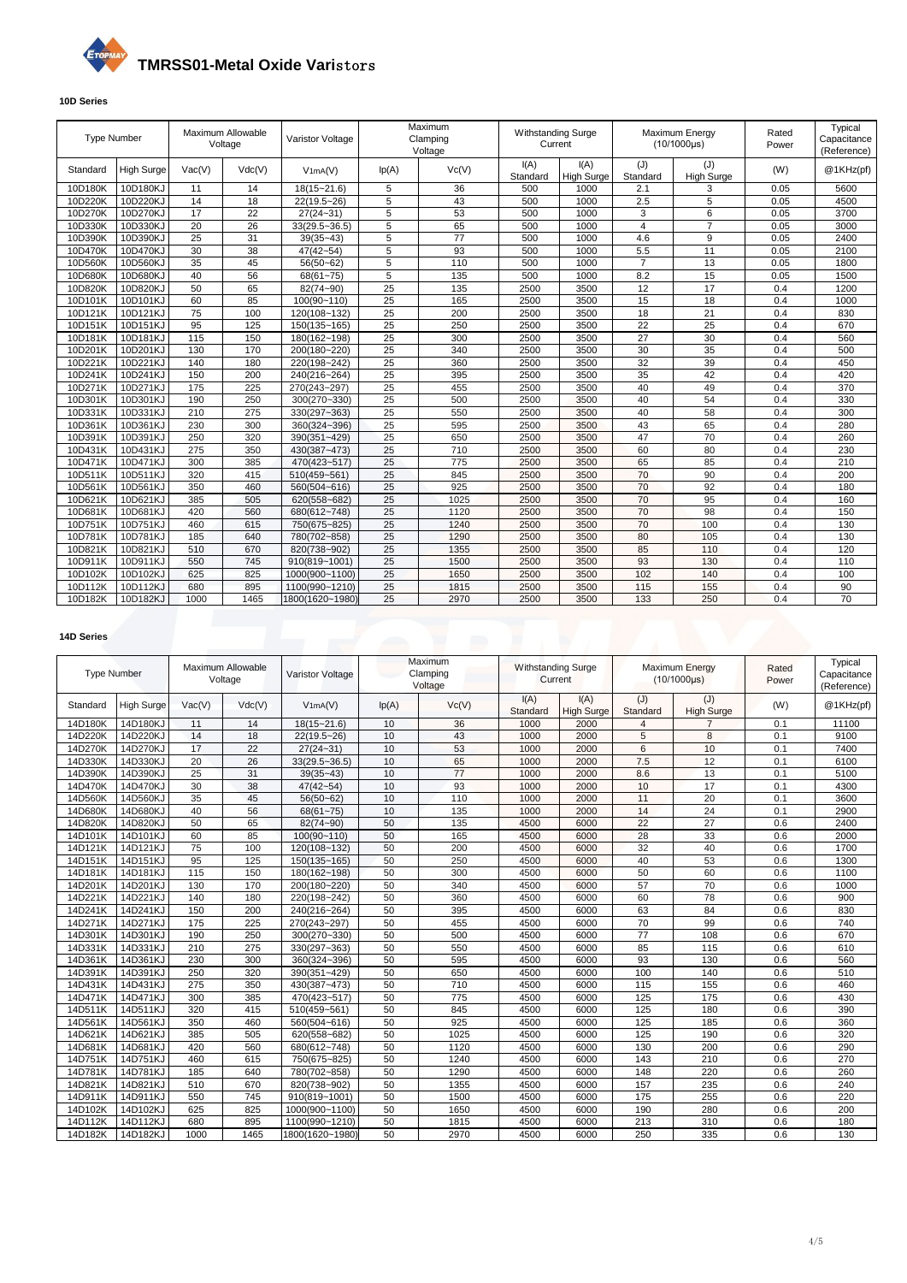

## **10D Series**

| <b>Type Number</b> |                   |        | Maximum Allowable<br>Voltage | Varistor Voltage  |                | Maximum<br>Clamping<br>Voltage | Withstanding Surge<br>Current |                           | Maximum Energy<br>(10/1000µs) |                          | Rated<br>Power | Typical<br>Capacitance<br>(Reference) |
|--------------------|-------------------|--------|------------------------------|-------------------|----------------|--------------------------------|-------------------------------|---------------------------|-------------------------------|--------------------------|----------------|---------------------------------------|
| Standard           | <b>High Surge</b> | Vac(V) | Vdc(V)                       | V1mA(V)           | lp(A)          | Vc(V)                          | I(A)<br>Standard              | I(A)<br><b>High Surge</b> | (J)<br>Standard               | (J)<br><b>High Surge</b> | (W)            | @1KHz(pt)                             |
| 10D180K            | 10D180KJ          | 11     | 14                           | 18(15~21.6)       | 5              | 36                             | 500                           | 1000                      | 2.1                           | 3                        | 0.05           | 5600                                  |
| 10D220K            | 10D220KJ          | 14     | 18                           | 22(19.5~26)       | 5              | 43                             | 500                           | 1000                      | 2.5                           | 5                        | 0.05           | 4500                                  |
| 10D270K            | 10D270KJ          | 17     | 22                           | $27(24 - 31)$     | 5              | 53                             | 500                           | 1000                      | 3                             | 6                        | 0.05           | 3700                                  |
| 10D330K            | 10D330KJ          | 20     | $\overline{26}$              | $33(29.5 - 36.5)$ | 5              | 65                             | 500                           | 1000                      | 4                             | $\overline{7}$           | 0.05           | 3000                                  |
| 10D390K            | 10D390KJ          | 25     | 31                           | $39(35 - 43)$     | 5              | 77                             | 500                           | 1000                      | 4.6                           | 9                        | 0.05           | 2400                                  |
| 10D470K            | 10D470KJ          | 30     | 38                           | $47(42 - 54)$     | $\overline{5}$ | 93                             | 500                           | 1000                      | 5.5                           | 11                       | 0.05           | 2100                                  |
| 10D560K            | 10D560KJ          | 35     | 45                           | 56(50~62)         | 5              | 110                            | 500                           | 1000                      | $\overline{7}$                | 13                       | 0.05           | 1800                                  |
| 10D680K            | 10D680KJ          | 40     | 56                           | $68(61 - 75)$     | 5              | 135                            | 500                           | 1000                      | 8.2                           | 15                       | 0.05           | 1500                                  |
| 10D820K            | 10D820KJ          | 50     | 65                           | 82(74~90)         | 25             | 135                            | 2500                          | 3500                      | 12                            | 17                       | 0.4            | 1200                                  |
| 10D101K            | 10D101KJ          | 60     | 85                           | 100(90~110)       | 25             | 165                            | 2500                          | 3500                      | 15                            | 18                       | 0.4            | 1000                                  |
| 10D121K            | 10D121KJ          | 75     | 100                          | 120(108~132)      | 25             | 200                            | 2500                          | 3500                      | 18                            | 21                       | 0.4            | 830                                   |
| 10D151K            | 10D151KJ          | 95     | 125                          | 150(135~165)      | 25             | 250                            | 2500                          | 3500                      | 22                            | 25                       | 0.4            | 670                                   |
| 10D181K            | 10D181KJ          | 115    | 150                          | 180(162~198)      | 25             | 300                            | 2500                          | 3500                      | 27                            | 30                       | 0.4            | 560                                   |
| 10D201K            | 10D201KJ          | 130    | 170                          | 200(180~220)      | 25             | 340                            | 2500                          | 3500                      | 30                            | 35                       | 0.4            | 500                                   |
| 10D221K            | 10D221KJ          | 140    | 180                          | 220(198~242)      | 25             | 360                            | 2500                          | 3500                      | 32                            | 39                       | 0.4            | 450                                   |
| 10D241K            | 10D241KJ          | 150    | 200                          | 240(216~264)      | 25             | 395                            | 2500                          | 3500                      | 35                            | 42                       | 0.4            | 420                                   |
| 10D271K            | 10D271KJ          | 175    | 225                          | 270(243~297)      | 25             | 455                            | 2500                          | 3500                      | 40                            | 49                       | 0.4            | 370                                   |
| 10D301K            | 10D301KJ          | 190    | 250                          | 300(270~330)      | 25             | 500                            | 2500                          | 3500                      | 40                            | 54                       | 0.4            | 330                                   |
| 10D331K            | 10D331KJ          | 210    | 275                          | 330(297~363)      | 25             | 550                            | 2500                          | 3500                      | 40                            | 58                       | 0.4            | 300                                   |
| 10D361K            | 10D361KJ          | 230    | 300                          | 360(324~396)      | 25             | 595                            | 2500                          | 3500                      | 43                            | 65                       | 0.4            | 280                                   |
| 10D391K            | 10D391KJ          | 250    | 320                          | 390(351~429)      | 25             | 650                            | 2500                          | 3500                      | 47                            | 70                       | 0.4            | 260                                   |
| 10D431K            | 10D431KJ          | 275    | 350                          | 430(387~473)      | 25             | 710                            | 2500                          | 3500                      | 60                            | 80                       | 0.4            | 230                                   |
| 10D471K            | 10D471KJ          | 300    | 385                          | 470(423~517)      | 25             | 775                            | 2500                          | 3500                      | 65                            | 85                       | 0.4            | 210                                   |
| 10D511K            | 10D511KJ          | 320    | 415                          | 510(459~561)      | 25             | 845                            | 2500                          | 3500                      | 70                            | 90                       | 0.4            | 200                                   |
| 10D561K            | 10D561KJ          | 350    | 460                          | 560(504~616)      | 25             | 925                            | 2500                          | 3500                      | 70                            | 92                       | 0.4            | 180                                   |
| 10D621K            | 10D621KJ          | 385    | 505                          | 620(558~682)      | 25             | 1025                           | 2500                          | 3500                      | 70                            | 95                       | 0.4            | 160                                   |
| 10D681K            | 10D681KJ          | 420    | 560                          | 680(612~748)      | 25             | 1120                           | 2500                          | 3500                      | 70                            | 98                       | 0.4            | 150                                   |
| 10D751K            | 10D751KJ          | 460    | 615                          | 750(675~825)      | 25             | 1240                           | 2500                          | 3500                      | 70                            | 100                      | 0.4            | 130                                   |
| 10D781K            | 10D781KJ          | 185    | 640                          | 780(702~858)      | 25             | 1290                           | 2500                          | 3500                      | 80                            | 105                      | 0.4            | 130                                   |
| 10D821K            | 10D821KJ          | 510    | 670                          | 820(738~902)      | 25             | 1355                           | 2500                          | 3500                      | 85                            | 110                      | 0.4            | 120                                   |
| 10D911K            | 10D911KJ          | 550    | 745                          | 910(819~1001)     | 25             | 1500                           | 2500                          | 3500                      | 93                            | 130                      | 0.4            | 110                                   |
| 10D102K            | 10D102KJ          | 625    | 825                          | 1000(900~1100)    | 25             | 1650                           | 2500                          | 3500                      | 102                           | 140                      | 0.4            | 100                                   |
| 10D112K            | 10D112KJ          | 680    | 895                          | 1100(990~1210)    | 25             | 1815                           | 2500                          | 3500                      | 115                           | 155                      | 0.4            | 90                                    |
| 10D182K            | 10D182KJ          | 1000   | 1465                         | 1800(1620~1980)   | 25             | 2970                           | 2500                          | 3500                      | 133                           | 250                      | 0.4            | 70                                    |

## **14D Series**

| <b>Type Number</b> |                   |        | Maximum Allowable<br>Voltage | Varistor Voltage  |       | Maximum<br>Clamping<br>Voltage | <b>Withstanding Surge</b><br>Current |                           |                 | Maximum Energy<br>$(10/1000\mu s)$ | Rated<br>Power | Typical<br>Capacitance<br>(Reference) |
|--------------------|-------------------|--------|------------------------------|-------------------|-------|--------------------------------|--------------------------------------|---------------------------|-----------------|------------------------------------|----------------|---------------------------------------|
| Standard           | <b>High Surge</b> | Vac(V) | Vdc(V)                       | V1mA(V)           | lp(A) | Vc(V)                          | I(A)<br>Standard                     | I(A)<br><b>High Surge</b> | (J)<br>Standard | (J)<br><b>High Surge</b>           | (W)            | @1KHz(pf)                             |
| 14D180K            | 14D180KJ          | 11     | 14                           | $18(15 - 21.6)$   | 10    | 36                             | 1000                                 | 2000                      | 4               | 7                                  | 0.1            | 11100                                 |
| 14D220K            | 14D220KJ          | 14     | 18                           | $22(19.5 - 26)$   | 10    | 43                             | 1000                                 | 2000                      | 5               | 8                                  | 0.1            | 9100                                  |
| 14D270K            | 14D270KJ          | 17     | 22                           | $27(24 - 31)$     | 10    | 53                             | 1000                                 | 2000                      | 6               | 10                                 | 0.1            | 7400                                  |
| 14D330K            | 14D330KJ          | 20     | 26                           | $33(29.5 - 36.5)$ | 10    | 65                             | 1000                                 | 2000                      | 7.5             | 12                                 | 0.1            | 6100                                  |
| 14D390K            | 14D390KJ          | 25     | 31                           | $39(35 - 43)$     | 10    | 77                             | 1000                                 | 2000                      | 8.6             | 13                                 | 0.1            | 5100                                  |
| 14D470K            | 14D470KJ          | 30     | 38                           | $47(42 - 54)$     | 10    | 93                             | 1000                                 | 2000                      | 10              | 17                                 | 0.1            | 4300                                  |
| 14D560K            | 14D560KJ          | 35     | 45                           | 56(50~62)         | 10    | 110                            | 1000                                 | 2000                      | 11              | 20                                 | 0.1            | 3600                                  |
| 14D680K            | 14D680KJ          | 40     | 56                           | 68(61~75)         | 10    | 135                            | 1000                                 | 2000                      | 14              | 24                                 | 0.1            | 2900                                  |
| 14D820K            | 14D820KJ          | 50     | 65                           | 82(74~90)         | 50    | 135                            | 4500                                 | 6000                      | 22              | 27                                 | 0.6            | 2400                                  |
| 14D101K            | 14D101KJ          | 60     | 85                           | $100(90 - 110)$   | 50    | 165                            | 4500                                 | 6000                      | 28              | 33                                 | 0.6            | 2000                                  |
| 14D121K            | 14D121KJ          | 75     | 100                          | 120(108~132)      | 50    | 200                            | 4500                                 | 6000                      | 32              | 40                                 | 0.6            | 1700                                  |
| 14D151K            | 14D151KJ          | 95     | 125                          | 150(135~165)      | 50    | 250                            | 4500                                 | 6000                      | 40              | 53                                 | 0.6            | 1300                                  |
| 14D181K            | 14D181KJ          | 115    | 150                          | 180(162~198)      | 50    | 300                            | 4500                                 | 6000                      | 50              | 60                                 | 0.6            | 1100                                  |
| 14D201K            | 14D201KJ          | 130    | 170                          | 200(180~220)      | 50    | 340                            | 4500                                 | 6000                      | 57              | 70                                 | 0.6            | 1000                                  |
| 14D221K            | 14D221KJ          | 140    | 180                          | 220(198~242)      | 50    | 360                            | 4500                                 | 6000                      | 60              | 78                                 | 0.6            | 900                                   |
| 14D241K            | 14D241KJ          | 150    | 200                          | 240(216~264)      | 50    | 395                            | 4500                                 | 6000                      | 63              | 84                                 | 0.6            | 830                                   |
| 14D271K            | 14D271KJ          | 175    | 225                          | 270(243~297)      | 50    | 455                            | 4500                                 | 6000                      | 70              | 99                                 | 0.6            | 740                                   |
| 14D301K            | 14D301KJ          | 190    | 250                          | 300(270~330)      | 50    | 500                            | 4500                                 | 6000                      | 77              | 108                                | 0.6            | 670                                   |
| 14D331K            | 14D331KJ          | 210    | 275                          | 330(297~363)      | 50    | 550                            | 4500                                 | 6000                      | 85              | 115                                | 0.6            | 610                                   |
| 14D361K            | 14D361KJ          | 230    | 300                          | 360(324~396)      | 50    | 595                            | 4500                                 | 6000                      | 93              | 130                                | 0.6            | 560                                   |
| 14D391K            | 14D391KJ          | 250    | 320                          | 390(351~429)      | 50    | 650                            | 4500                                 | 6000                      | 100             | 140                                | 0.6            | 510                                   |
| 14D431K            | 14D431KJ          | 275    | 350                          | 430(387~473)      | 50    | 710                            | 4500                                 | 6000                      | 115             | 155                                | 0.6            | 460                                   |
| 14D471K            | 14D471KJ          | 300    | 385                          | 470(423~517)      | 50    | 775                            | 4500                                 | 6000                      | 125             | 175                                | 0.6            | 430                                   |
| 14D511K            | 14D511KJ          | 320    | 415                          | 510(459~561)      | 50    | 845                            | 4500                                 | 6000                      | 125             | 180                                | 0.6            | 390                                   |
| 14D561K            | 14D561KJ          | 350    | 460                          | 560(504~616)      | 50    | 925                            | 4500                                 | 6000                      | 125             | 185                                | 0.6            | 360                                   |
| 14D621K            | 14D621KJ          | 385    | 505                          | 620(558~682)      | 50    | 1025                           | 4500                                 | 6000                      | 125             | 190                                | 0.6            | 320                                   |
| 14D681K            | 14D681KJ          | 420    | 560                          | 680(612~748)      | 50    | 1120                           | 4500                                 | 6000                      | 130             | 200                                | 0.6            | 290                                   |
| 14D751K            | 14D751KJ          | 460    | 615                          | 750(675~825)      | 50    | 1240                           | 4500                                 | 6000                      | 143             | 210                                | 0.6            | 270                                   |
| 14D781K            | 14D781KJ          | 185    | 640                          | 780(702~858)      | 50    | 1290                           | 4500                                 | 6000                      | 148             | 220                                | 0.6            | 260                                   |
| 14D821K            | 14D821KJ          | 510    | 670                          | 820(738~902)      | 50    | 1355                           | 4500                                 | 6000                      | 157             | 235                                | 0.6            | 240                                   |
| 14D911K            | 14D911KJ          | 550    | 745                          | 910(819~1001)     | 50    | 1500                           | 4500                                 | 6000                      | 175             | 255                                | 0.6            | 220                                   |
| 14D102K            | 14D102KJ          | 625    | 825                          | 1000(900~1100)    | 50    | 1650                           | 4500                                 | 6000                      | 190             | 280                                | 0.6            | 200                                   |
| 14D112K            | 14D112KJ          | 680    | 895                          | 1100(990~1210)    | 50    | 1815                           | 4500                                 | 6000                      | 213             | 310                                | 0.6            | 180                                   |
| 14D182K            | 14D182KJ          | 1000   | 1465                         | 1800(1620~1980)   | 50    | 2970                           | 4500                                 | 6000                      | 250             | 335                                | 0.6            | 130                                   |